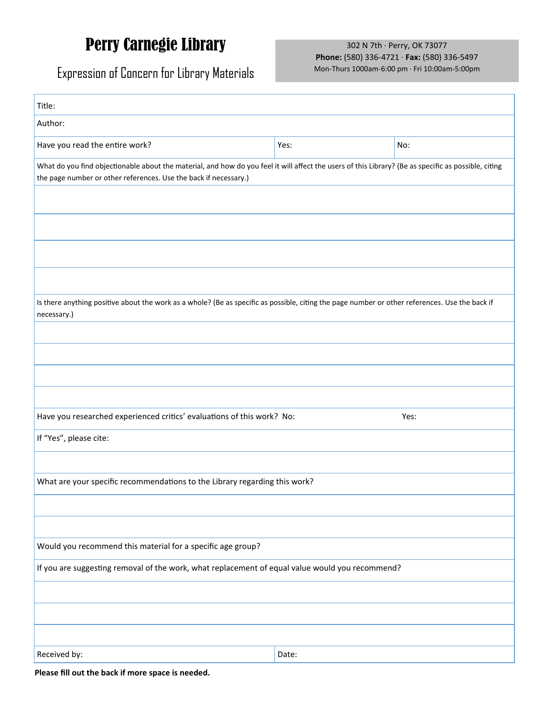## Perry Carnegie Library

Expression of Concern for Library Materials

## 302 N 7th · Perry, OK 73077 **Phone:** (580) 336-4721 · **Fax:** (580) 336-5497 Mon-Thurs 1000am-6:00 pm · Fri 10:00am-5:00pm

| Title:                                                                                                                                                                                                                   |       |      |  |
|--------------------------------------------------------------------------------------------------------------------------------------------------------------------------------------------------------------------------|-------|------|--|
| Author:                                                                                                                                                                                                                  |       |      |  |
| Have you read the entire work?                                                                                                                                                                                           | Yes:  | No:  |  |
| What do you find objectionable about the material, and how do you feel it will affect the users of this Library? (Be as specific as possible, citing<br>the page number or other references. Use the back if necessary.) |       |      |  |
|                                                                                                                                                                                                                          |       |      |  |
|                                                                                                                                                                                                                          |       |      |  |
|                                                                                                                                                                                                                          |       |      |  |
|                                                                                                                                                                                                                          |       |      |  |
|                                                                                                                                                                                                                          |       |      |  |
| Is there anything positive about the work as a whole? (Be as specific as possible, citing the page number or other references. Use the back if<br>necessary.)                                                            |       |      |  |
|                                                                                                                                                                                                                          |       |      |  |
|                                                                                                                                                                                                                          |       |      |  |
|                                                                                                                                                                                                                          |       |      |  |
|                                                                                                                                                                                                                          |       |      |  |
| Have you researched experienced critics' evaluations of this work? No:                                                                                                                                                   |       | Yes: |  |
| If "Yes", please cite:                                                                                                                                                                                                   |       |      |  |
|                                                                                                                                                                                                                          |       |      |  |
| What are your specific recommendations to the Library regarding this work?                                                                                                                                               |       |      |  |
|                                                                                                                                                                                                                          |       |      |  |
|                                                                                                                                                                                                                          |       |      |  |
| Would you recommend this material for a specific age group?                                                                                                                                                              |       |      |  |
| If you are suggesting removal of the work, what replacement of equal value would you recommend?                                                                                                                          |       |      |  |
|                                                                                                                                                                                                                          |       |      |  |
|                                                                                                                                                                                                                          |       |      |  |
|                                                                                                                                                                                                                          |       |      |  |
| Received by:                                                                                                                                                                                                             | Date: |      |  |

**Please fill out the back if more space is needed.**